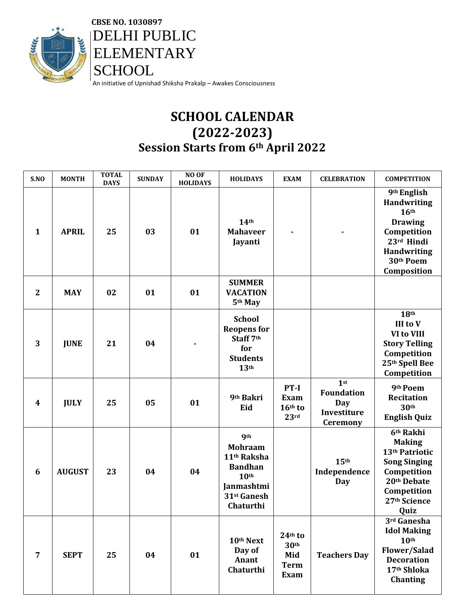

 **CBSE NO. 1030897 DELHI PUBLIC**  ELEMENTARY **SCHOOL** An initiative of Upnishad Shiksha Prakalp – Awakes Consciousness

## **SCHOOL CALENDAR (2022-2023) Session Starts from 6th April 2022**

| S.NO         | <b>MONTH</b>  | <b>TOTAL</b><br><b>DAYS</b> | <b>SUNDAY</b> | NO OF<br><b>HOLIDAYS</b> | <b>HOLIDAYS</b>                                                                                                                         | <b>EXAM</b>                                                        | <b>CELEBRATION</b>                                                                   | <b>COMPETITION</b>                                                                                                                                                 |
|--------------|---------------|-----------------------------|---------------|--------------------------|-----------------------------------------------------------------------------------------------------------------------------------------|--------------------------------------------------------------------|--------------------------------------------------------------------------------------|--------------------------------------------------------------------------------------------------------------------------------------------------------------------|
| $\mathbf{1}$ | <b>APRIL</b>  | 25                          | 03            | 01                       | 14 <sup>th</sup><br><b>Mahaveer</b><br>Jayanti                                                                                          |                                                                    |                                                                                      | 9 <sup>th</sup> English<br><b>Handwriting</b><br>16 <sup>th</sup><br><b>Drawing</b><br>Competition<br>23rd Hindi<br><b>Handwriting</b><br>30th Poem<br>Composition |
| $\mathbf{2}$ | <b>MAY</b>    | 02                          | 01            | 01                       | <b>SUMMER</b><br><b>VACATION</b><br>5th May                                                                                             |                                                                    |                                                                                      |                                                                                                                                                                    |
| 3            | <b>JUNE</b>   | 21                          | 04            |                          | <b>School</b><br><b>Reopens for</b><br>Staff 7th<br>for<br><b>Students</b><br>13 <sup>th</sup>                                          |                                                                    |                                                                                      | 18 <sup>th</sup><br><b>III</b> to V<br>VI to VIII<br><b>Story Telling</b><br>Competition<br>25th Spell Bee<br>Competition                                          |
| 4            | <b>JULY</b>   | 25                          | 05            | 01                       | 9th Bakri<br>Eid                                                                                                                        | PT-I<br><b>Exam</b><br>16th to<br>23rd                             | 1 <sub>st</sub><br><b>Foundation</b><br><b>Day</b><br>Investiture<br><b>Ceremony</b> | 9th Poem<br><b>Recitation</b><br>30 <sup>th</sup><br><b>English Quiz</b>                                                                                           |
| 6            | <b>AUGUST</b> | 23                          | 04            | 04                       | <b>9th</b><br><b>Mohraam</b><br>11 <sup>th</sup> Raksha<br><b>Bandhan</b><br>10 <sup>th</sup><br>Janmashtmi<br>31st Ganesh<br>Chaturthi |                                                                    | 15 <sup>th</sup><br>Independence<br>Day                                              | 6 <sup>th</sup> Rakhi<br><b>Making</b><br>13 <sup>th</sup> Patriotic<br><b>Song Singing</b><br>Competition<br>20th Debate<br>Competition<br>27th Science<br>Quiz   |
| 7            | <b>SEPT</b>   | 25                          | 04            | 01                       | 10th Next<br>Day of<br>Anant<br>Chaturthi                                                                                               | $24th$ to<br>30 <sup>th</sup><br>Mid<br><b>Term</b><br><b>Exam</b> | <b>Teachers Day</b>                                                                  | 3rd Ganesha<br><b>Idol Making</b><br>10 <sup>th</sup><br>Flower/Salad<br><b>Decoration</b><br>17th Shloka<br><b>Chanting</b>                                       |